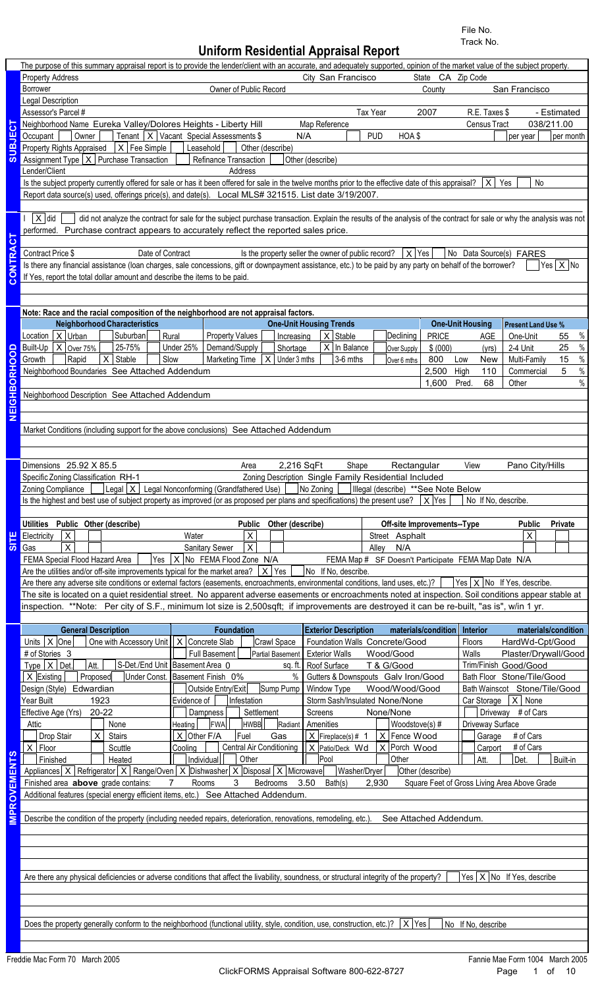File No. Track No.

# **Uniform Residential Appraisal Report**

|                                        | The purpose of this summary appraisal report is to provide the lender/client with an accurate, and adequately supported, opinion of the market value of the subject property. |                                                                                                                                                                      |                                                       |                                                     |                         |                                                                               |
|----------------------------------------|-------------------------------------------------------------------------------------------------------------------------------------------------------------------------------|----------------------------------------------------------------------------------------------------------------------------------------------------------------------|-------------------------------------------------------|-----------------------------------------------------|-------------------------|-------------------------------------------------------------------------------|
|                                        | <b>Property Address</b>                                                                                                                                                       |                                                                                                                                                                      | City San Francisco                                    | State CA Zip Code                                   |                         |                                                                               |
|                                        | Borrower                                                                                                                                                                      | Owner of Public Record                                                                                                                                               |                                                       | County                                              |                         | San Francisco                                                                 |
|                                        | Legal Description                                                                                                                                                             |                                                                                                                                                                      |                                                       |                                                     |                         |                                                                               |
|                                        | Assessor's Parcel #                                                                                                                                                           |                                                                                                                                                                      | Tax Year                                              | 2007                                                | R.E. Taxes \$           | - Estimated                                                                   |
| ECT                                    | Neighborhood Name Eureka Valley/Dolores Heights - Liberty Hill                                                                                                                |                                                                                                                                                                      | Map Reference                                         |                                                     | <b>Census Tract</b>     | 038/211.00                                                                    |
|                                        | Owner<br>Occupant                                                                                                                                                             | Tenant $ X $ Vacant Special Assessments \$                                                                                                                           | N/A<br><b>PUD</b>                                     | HOA\$                                               |                         | per month<br>per year                                                         |
| <b>LESUS</b>                           | Property Rights Appraised $ X $ Fee Simple                                                                                                                                    | Leasehold<br>Other (describe)                                                                                                                                        |                                                       |                                                     |                         |                                                                               |
|                                        | Assignment Type $ X $ Purchase Transaction                                                                                                                                    | Refinance Transaction                                                                                                                                                | Other (describe)                                      |                                                     |                         |                                                                               |
|                                        | Lender/Client                                                                                                                                                                 | Address                                                                                                                                                              |                                                       |                                                     |                         |                                                                               |
|                                        | Is the subject property currently offered for sale or has it been offered for sale in the twelve months prior to the effective date of this appraisal?                        |                                                                                                                                                                      |                                                       |                                                     | $X \mid Y$ es           | No                                                                            |
|                                        | Report data source(s) used, offerings price(s), and date(s). Local MLS# 321515. List date 3/19/2007.                                                                          |                                                                                                                                                                      |                                                       |                                                     |                         |                                                                               |
|                                        |                                                                                                                                                                               |                                                                                                                                                                      |                                                       |                                                     |                         |                                                                               |
|                                        | $ X $ did                                                                                                                                                                     | did not analyze the contract for sale for the subject purchase transaction. Explain the results of the analysis of the contract for sale or why the analysis was not |                                                       |                                                     |                         |                                                                               |
|                                        | performed. Purchase contract appears to accurately reflect the reported sales price.                                                                                          |                                                                                                                                                                      |                                                       |                                                     |                         |                                                                               |
| CONTRACT                               |                                                                                                                                                                               |                                                                                                                                                                      |                                                       |                                                     |                         |                                                                               |
|                                        | Contract Price \$<br>Date of Contract                                                                                                                                         |                                                                                                                                                                      | Is the property seller the owner of public record?    | $X$ Yes                                             |                         | No Data Source(s) FARES                                                       |
|                                        | Is there any financial assistance (loan charges, sale concessions, gift or downpayment assistance, etc.) to be paid by any party on behalf of the borrower?                   |                                                                                                                                                                      |                                                       |                                                     |                         | Yes $ X $ No                                                                  |
|                                        | If Yes, report the total dollar amount and describe the items to be paid.                                                                                                     |                                                                                                                                                                      |                                                       |                                                     |                         |                                                                               |
|                                        |                                                                                                                                                                               |                                                                                                                                                                      |                                                       |                                                     |                         |                                                                               |
|                                        |                                                                                                                                                                               |                                                                                                                                                                      |                                                       |                                                     |                         |                                                                               |
|                                        | Note: Race and the racial composition of the neighborhood are not appraisal factors.                                                                                          |                                                                                                                                                                      |                                                       |                                                     |                         |                                                                               |
|                                        | <b>Neighborhood Characteristics</b>                                                                                                                                           |                                                                                                                                                                      | <b>One-Unit Housing Trends</b>                        |                                                     | <b>One-Unit Housing</b> | <b>Present Land Use %</b>                                                     |
|                                        | Location $X$ Urban<br>Suburban                                                                                                                                                | Rural<br><b>Property Values</b><br>Increasing                                                                                                                        | $X$ Stable                                            | <b>PRICE</b><br>Declining                           | AGE                     | One-Unit<br>55                                                                |
|                                        | 25-75%<br>Built-Up $ X $ Over 75%                                                                                                                                             | Demand/Supply<br>Under 25%<br>Shortage                                                                                                                               | $\overline{X}$ In Balance                             | \$ (000)<br>Over Supply                             | (yrs)                   | 2-4 Unit<br>25                                                                |
| NEIGHBORHOOD                           | $X$ Stable<br>Growth<br>Rapid<br>Slow                                                                                                                                         | Marketing Time $ X $ Under 3 mths                                                                                                                                    | 3-6 mths                                              | 800<br>Over 6 mths                                  | Low<br>New              | Multi-Family<br>15                                                            |
|                                        | Neighborhood Boundaries See Attached Addendum                                                                                                                                 |                                                                                                                                                                      |                                                       | 2,500                                               | High                    | Commercial<br>5                                                               |
|                                        |                                                                                                                                                                               |                                                                                                                                                                      |                                                       | 1.600                                               | 110<br>Pred.<br>68      | Other                                                                         |
|                                        |                                                                                                                                                                               |                                                                                                                                                                      |                                                       |                                                     |                         |                                                                               |
|                                        | Neighborhood Description See Attached Addendum                                                                                                                                |                                                                                                                                                                      |                                                       |                                                     |                         |                                                                               |
|                                        |                                                                                                                                                                               |                                                                                                                                                                      |                                                       |                                                     |                         |                                                                               |
|                                        |                                                                                                                                                                               |                                                                                                                                                                      |                                                       |                                                     |                         |                                                                               |
|                                        | Market Conditions (including support for the above conclusions) See Attached Addendum                                                                                         |                                                                                                                                                                      |                                                       |                                                     |                         |                                                                               |
|                                        |                                                                                                                                                                               |                                                                                                                                                                      |                                                       |                                                     |                         |                                                                               |
|                                        |                                                                                                                                                                               |                                                                                                                                                                      |                                                       |                                                     |                         |                                                                               |
|                                        | Dimensions 25.92 X 85.5                                                                                                                                                       | Area                                                                                                                                                                 | 2,216 SqFt<br>Shape                                   | Rectangular                                         | View                    | Pano City/Hills                                                               |
|                                        | Specific Zoning Classification RH-1                                                                                                                                           |                                                                                                                                                                      | Zoning Description Single Family Residential Included |                                                     |                         |                                                                               |
|                                        | Zoning Compliance   Legal X   Legal Nonconforming (Grandfathered Use)   No Zoning     Illegal (describe) **See Note Below                                                     |                                                                                                                                                                      |                                                       |                                                     |                         |                                                                               |
|                                        | Is the highest and best use of subject property as improved (or as proposed per plans and specifications) the present use? $ X $ Yes                                          |                                                                                                                                                                      |                                                       |                                                     | No If No. describe.     |                                                                               |
|                                        |                                                                                                                                                                               |                                                                                                                                                                      |                                                       |                                                     |                         |                                                                               |
|                                        |                                                                                                                                                                               |                                                                                                                                                                      |                                                       |                                                     |                         |                                                                               |
|                                        | Utilities Public Other (describe)                                                                                                                                             | Public Other (describe)                                                                                                                                              |                                                       | Off-site Improvements--Type                         |                         | <b>Public</b><br>Private                                                      |
|                                        | Electricity<br> X                                                                                                                                                             | X<br>Water                                                                                                                                                           |                                                       | Street Asphalt                                      |                         | $\pmb{\times}$                                                                |
|                                        | $\overline{X}$<br>Gas                                                                                                                                                         | $\boldsymbol{\mathsf{X}}$<br><b>Sanitary Sewer</b>                                                                                                                   | Alley                                                 | N/A                                                 |                         |                                                                               |
|                                        | FEMA Special Flood Hazard Area                                                                                                                                                | Yes   X   No FEMA Flood Zone N/A                                                                                                                                     |                                                       | FEMA Map # SF Doesn't Participate FEMA Map Date N/A |                         |                                                                               |
|                                        | Are the utilities and/or off-site improvements typical for the market area? $ X $ Yes $ $                                                                                     |                                                                                                                                                                      | No If No, describe.                                   |                                                     |                         |                                                                               |
|                                        | Are there any adverse site conditions or external factors (easements, encroachments, environmental conditions, land uses, etc.)?                                              |                                                                                                                                                                      |                                                       |                                                     |                         | $\left  \text{Yes} \right  \times \left  \text{No} \right $ if Yes, describe. |
|                                        | The site is located on a quiet residential street. No apparent adverse easements or encroachments noted at inspection. Soil conditions appear stable at                       |                                                                                                                                                                      |                                                       |                                                     |                         |                                                                               |
|                                        | inspection. **Note: Per city of S.F., minimum lot size is 2,500sqft; if improvements are destroyed it can be re-built, "as is", w/in 1 yr.                                    |                                                                                                                                                                      |                                                       |                                                     |                         |                                                                               |
|                                        |                                                                                                                                                                               |                                                                                                                                                                      |                                                       |                                                     |                         |                                                                               |
|                                        | <b>General Description</b>                                                                                                                                                    | <b>Foundation</b>                                                                                                                                                    | <b>Exterior Description</b>                           | materials/condition                                 | Interior                | materials/condition                                                           |
|                                        | Units $ X $ One<br>One with Accessory Unit   X Concrete Slab                                                                                                                  | Crawl Space                                                                                                                                                          | Foundation Walls Concrete/Good                        |                                                     | Floors                  | HardWd-Cpt/Good                                                               |
|                                        | # of Stories 3                                                                                                                                                                | Full Basement                                                                                                                                                        | <b>Exterior Walls</b>                                 | Wood/Good                                           | Walls                   | Plaster/Drywall/Good                                                          |
|                                        | Type $ X $ Det.<br>Att.                                                                                                                                                       | Partial Basement<br>sq. ft.                                                                                                                                          | Roof Surface                                          | T & G/Good                                          |                         | Trim/Finish Good/Good                                                         |
|                                        | $X$ Existing<br>Proposed                                                                                                                                                      | S-Det./End Unit Basement Area 0<br>Under Const. Basement Finish 0%                                                                                                   | $\%$<br>Gutters & Downspouts Galv Iron/Good           |                                                     |                         | Bath Floor Stone/Tile/Good                                                    |
|                                        |                                                                                                                                                                               | Outside Entry/Exit                                                                                                                                                   |                                                       | Wood/Wood/Good                                      |                         |                                                                               |
|                                        | Design (Style) Edwardian<br>Year Built<br>1923                                                                                                                                | Sump Pump<br>Evidence of                                                                                                                                             | Window Type                                           |                                                     |                         | Bath Wainscot Stone/Tile/Good                                                 |
|                                        |                                                                                                                                                                               | Infestation                                                                                                                                                          | Storm Sash/Insulated None/None                        |                                                     |                         | Car Storage $ X $ None                                                        |
|                                        | Effective Age (Yrs)<br>20-22                                                                                                                                                  | Settlement<br>Dampness                                                                                                                                               | Screens                                               | None/None                                           |                         | Driveway # of Cars                                                            |
|                                        | None<br>Attic                                                                                                                                                                 | <b>FWA</b><br>HWBB<br>Heating<br>Radiant                                                                                                                             | Amenities                                             | Woodstove(s) #                                      | Driveway Surface        |                                                                               |
|                                        | Drop Stair<br>$\vert x \vert$<br>Stairs                                                                                                                                       | $\overline{X}$ Other F/A<br>Fuel<br>Gas                                                                                                                              | $X$ Fireplace(s) # 1                                  | $ X $ Fence Wood                                    | Garage                  | # of Cars                                                                     |
|                                        | $X$ Floor<br>Scuttle                                                                                                                                                          | Central Air Conditioning<br>Cooling                                                                                                                                  | X Patio/Deck Wd                                       | $X$ Porch Wood                                      | Carport                 | # of Cars                                                                     |
|                                        | Finished<br>Heated                                                                                                                                                            | Individual<br>Other                                                                                                                                                  | Pool                                                  | Other                                               | Att.                    | Built-in<br>Det.                                                              |
|                                        | Appliances $X$ Refrigerator $X$ Range/Oven $X$ Dishwasher $X$ Disposal $X$ Microwave                                                                                          |                                                                                                                                                                      | Washer/Dryer                                          | Other (describe)                                    |                         |                                                                               |
|                                        | Finished area above grade contains:                                                                                                                                           | Rooms<br>3 <sup>1</sup><br>$7\overline{ }$                                                                                                                           | Bedrooms 3.50 Bath(s)<br>2,930                        |                                                     |                         | Square Feet of Gross Living Area Above Grade                                  |
|                                        | Additional features (special energy efficient items, etc.) See Attached Addendum.                                                                                             |                                                                                                                                                                      |                                                       |                                                     |                         |                                                                               |
|                                        |                                                                                                                                                                               |                                                                                                                                                                      |                                                       |                                                     |                         |                                                                               |
|                                        | Describe the condition of the property (including needed repairs, deterioration, renovations, remodeling, etc.). See Attached Addendum.                                       |                                                                                                                                                                      |                                                       |                                                     |                         |                                                                               |
|                                        |                                                                                                                                                                               |                                                                                                                                                                      |                                                       |                                                     |                         |                                                                               |
|                                        |                                                                                                                                                                               |                                                                                                                                                                      |                                                       |                                                     |                         |                                                                               |
| $rac{1}{3}$<br>EMENTS<br><b>IMPROV</b> |                                                                                                                                                                               |                                                                                                                                                                      |                                                       |                                                     |                         |                                                                               |
|                                        |                                                                                                                                                                               |                                                                                                                                                                      |                                                       |                                                     |                         |                                                                               |
|                                        | Are there any physical deficiencies or adverse conditions that affect the livability, soundness, or structural integrity of the property?                                     |                                                                                                                                                                      |                                                       |                                                     |                         | $Yes \mid X \mid No$ If Yes, describe                                         |
|                                        |                                                                                                                                                                               |                                                                                                                                                                      |                                                       |                                                     |                         |                                                                               |
|                                        |                                                                                                                                                                               |                                                                                                                                                                      |                                                       |                                                     |                         |                                                                               |
|                                        |                                                                                                                                                                               |                                                                                                                                                                      |                                                       |                                                     |                         |                                                                               |
|                                        | Does the property generally conform to the neighborhood (functional utility, style, condition, use, construction, etc.)? $ X $ Yes                                            |                                                                                                                                                                      |                                                       |                                                     | No If No, describe      |                                                                               |
|                                        |                                                                                                                                                                               |                                                                                                                                                                      |                                                       |                                                     |                         |                                                                               |
|                                        |                                                                                                                                                                               |                                                                                                                                                                      |                                                       |                                                     |                         |                                                                               |
|                                        | Freddie Mac Form 70 March 2005                                                                                                                                                |                                                                                                                                                                      |                                                       |                                                     |                         | Fannie Mae Form 1004 March 2005                                               |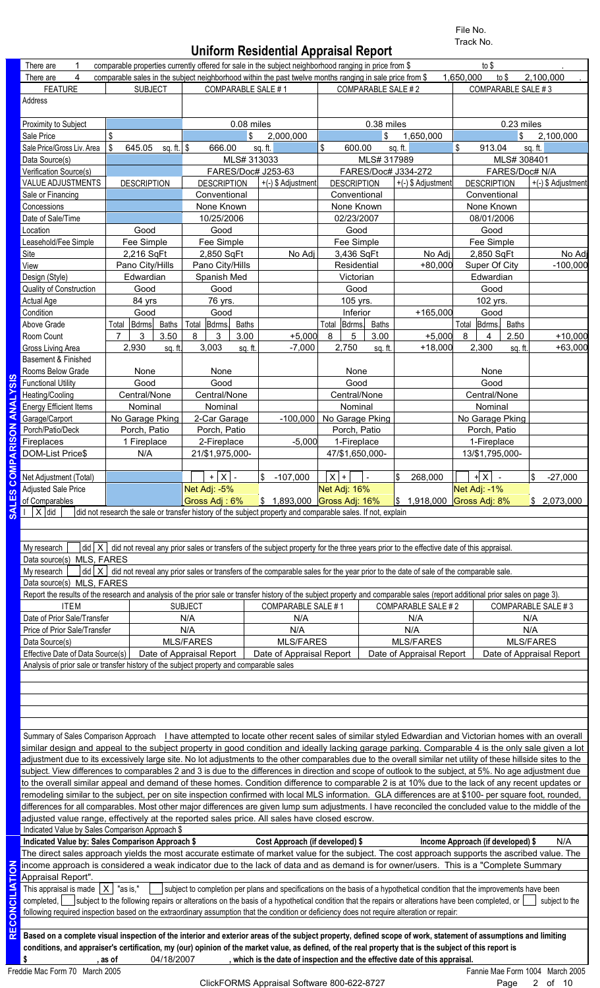File No. Track No.

## **Uniform Residential Appraisal Report**

|                   |                                                                                                                                                                               |                |                    |                       |                          |              |                    |                                                                                                                                                      |       |                    |              |                                                                                                                                                               | File No.<br>Track No. |                    |              |                          |
|-------------------|-------------------------------------------------------------------------------------------------------------------------------------------------------------------------------|----------------|--------------------|-----------------------|--------------------------|--------------|--------------------|------------------------------------------------------------------------------------------------------------------------------------------------------|-------|--------------------|--------------|---------------------------------------------------------------------------------------------------------------------------------------------------------------|-----------------------|--------------------|--------------|--------------------------|
|                   | 1                                                                                                                                                                             |                |                    |                       |                          |              |                    | <b>Uniform Residential Appraisal Report</b><br>comparable properties currently offered for sale in the subject neighborhood ranging in price from \$ |       |                    |              |                                                                                                                                                               |                       | to $$$             |              |                          |
|                   | There are<br>4<br>There are                                                                                                                                                   |                |                    |                       |                          |              |                    | comparable sales in the subject neighborhood within the past twelve months ranging in sale price from \$                                             |       |                    |              |                                                                                                                                                               | 1,650,000             |                    | to $$$       | 2,100,000                |
|                   |                                                                                                                                                                               |                |                    |                       |                          |              |                    |                                                                                                                                                      |       |                    |              |                                                                                                                                                               |                       |                    |              |                          |
|                   | <b>FEATURE</b>                                                                                                                                                                |                | <b>SUBJECT</b>     |                       |                          |              | COMPARABLE SALE #1 |                                                                                                                                                      |       | COMPARABLE SALE #2 |              |                                                                                                                                                               |                       | COMPARABLE SALE #3 |              |                          |
|                   | Address                                                                                                                                                                       |                |                    |                       |                          |              |                    |                                                                                                                                                      |       |                    |              |                                                                                                                                                               |                       |                    |              |                          |
|                   |                                                                                                                                                                               |                |                    |                       |                          |              |                    |                                                                                                                                                      |       |                    |              |                                                                                                                                                               |                       |                    |              |                          |
|                   | Proximity to Subject                                                                                                                                                          |                |                    |                       |                          |              | 0.08 miles         |                                                                                                                                                      |       |                    | 0.38 miles   |                                                                                                                                                               |                       |                    | 0.23 miles   |                          |
|                   | Sale Price                                                                                                                                                                    | \$             |                    |                       |                          |              | \$                 | 2,000,000                                                                                                                                            |       |                    | \$           | 1,650,000                                                                                                                                                     |                       |                    | \$           | 2,100,000                |
|                   | Sale Price/Gross Liv. Area                                                                                                                                                    | \$             | 645.05             | sq. ft. $\frac{1}{2}$ |                          | 666.00       | sq. ft.            |                                                                                                                                                      | \$    | 600.00             |              | sq.ft.                                                                                                                                                        | \$                    | 913.04             |              | sq. ft.                  |
|                   | Data Source(s)                                                                                                                                                                |                |                    |                       |                          |              | MLS# 313033        |                                                                                                                                                      |       |                    |              | MLS# 317989                                                                                                                                                   |                       |                    | MLS# 308401  |                          |
|                   | Verification Source(s)                                                                                                                                                        |                |                    |                       |                          |              |                    | FARES/Doc# J253-63                                                                                                                                   |       |                    |              | FARES/Doc# J334-272                                                                                                                                           |                       |                    |              | FARES/Doc# N/A           |
|                   | <b>VALUE ADJUSTMENTS</b>                                                                                                                                                      |                | <b>DESCRIPTION</b> |                       | <b>DESCRIPTION</b>       |              |                    | +(-) \$ Adjustment                                                                                                                                   |       | <b>DESCRIPTION</b> |              | +(-) \$ Adjustment                                                                                                                                            |                       | <b>DESCRIPTION</b> |              | +(-) \$ Adjustment       |
|                   | Sale or Financing                                                                                                                                                             |                |                    |                       | Conventional             |              |                    |                                                                                                                                                      |       | Conventional       |              |                                                                                                                                                               |                       | Conventional       |              |                          |
|                   | Concessions                                                                                                                                                                   |                |                    |                       | None Known               |              |                    |                                                                                                                                                      |       | None Known         |              |                                                                                                                                                               |                       | None Known         |              |                          |
|                   | Date of Sale/Time                                                                                                                                                             |                |                    |                       | 10/25/2006               |              |                    |                                                                                                                                                      |       | 02/23/2007         |              |                                                                                                                                                               |                       | 08/01/2006         |              |                          |
|                   | Location                                                                                                                                                                      |                | Good               |                       | Good                     |              |                    |                                                                                                                                                      |       | Good               |              |                                                                                                                                                               |                       | Good               |              |                          |
|                   | Leasehold/Fee Simple                                                                                                                                                          |                | Fee Simple         |                       | Fee Simple               |              |                    |                                                                                                                                                      |       | Fee Simple         |              |                                                                                                                                                               |                       | Fee Simple         |              |                          |
|                   | Site                                                                                                                                                                          |                |                    |                       |                          |              |                    |                                                                                                                                                      |       |                    |              | No Adj                                                                                                                                                        |                       |                    |              |                          |
|                   |                                                                                                                                                                               |                | 2,216 SqFt         |                       | 2,850 SqFt               |              |                    | No Adj                                                                                                                                               |       | 3,436 SqFt         |              |                                                                                                                                                               |                       | 2,850 SqFt         |              | No Adj                   |
|                   | View                                                                                                                                                                          |                | Pano City/Hills    |                       | Pano City/Hills          |              |                    |                                                                                                                                                      |       | Residential        |              | $+80,000$                                                                                                                                                     |                       | Super Of City      |              | $-100,000$               |
|                   | Design (Style)                                                                                                                                                                |                | Edwardian          |                       | Spanish Med              |              |                    |                                                                                                                                                      |       | Victorian          |              |                                                                                                                                                               |                       | Edwardian          |              |                          |
|                   | Quality of Construction                                                                                                                                                       |                | Good               |                       | Good                     |              |                    |                                                                                                                                                      |       | Good               |              |                                                                                                                                                               |                       | Good               |              |                          |
|                   | <b>Actual Age</b>                                                                                                                                                             |                | 84 yrs             |                       | 76 yrs.                  |              |                    |                                                                                                                                                      |       | 105 yrs.           |              |                                                                                                                                                               |                       | 102 yrs.           |              |                          |
|                   | Condition                                                                                                                                                                     |                | Good               |                       | Good                     |              |                    |                                                                                                                                                      |       | Inferior           |              | $+165,000$                                                                                                                                                    |                       | Good               |              |                          |
|                   | Above Grade                                                                                                                                                                   | Total          | Bdrms              | <b>Baths</b>          | Bdrms.<br>Total          | <b>Baths</b> |                    |                                                                                                                                                      | Total | Bdrms.             | <b>Baths</b> |                                                                                                                                                               | Total                 | Bdrms.             | <b>Baths</b> |                          |
|                   | Room Count                                                                                                                                                                    | $\overline{7}$ | 3                  | 3.50                  | 8<br>3                   | 3.00         |                    | $+5,000$                                                                                                                                             | 8     | $\sqrt{5}$         | 3.00         | $+5,000$                                                                                                                                                      | 8                     | 4                  | 2.50         | $+10,000$                |
|                   | Gross Living Area                                                                                                                                                             |                | 2,930              | sq. ft.               | 3,003                    |              | sq. ft.            | $-7,000$                                                                                                                                             |       | 2,750              | sq. ft.      | $+18,000$                                                                                                                                                     |                       | 2,300              | sq. ft.      | $+63,000$                |
|                   | Basement & Finished                                                                                                                                                           |                |                    |                       |                          |              |                    |                                                                                                                                                      |       |                    |              |                                                                                                                                                               |                       |                    |              |                          |
|                   | Rooms Below Grade                                                                                                                                                             |                | None               |                       | None                     |              |                    |                                                                                                                                                      |       | None               |              |                                                                                                                                                               |                       | None               |              |                          |
|                   | <b>Functional Utility</b>                                                                                                                                                     |                | Good               |                       | Good                     |              |                    |                                                                                                                                                      |       | Good               |              |                                                                                                                                                               |                       | Good               |              |                          |
|                   | Heating/Cooling                                                                                                                                                               |                | Central/None       |                       | Central/None             |              |                    |                                                                                                                                                      |       | Central/None       |              |                                                                                                                                                               |                       | Central/None       |              |                          |
|                   |                                                                                                                                                                               |                |                    |                       |                          |              |                    |                                                                                                                                                      |       | Nominal            |              |                                                                                                                                                               |                       |                    |              |                          |
|                   | <b>Energy Efficient Items</b>                                                                                                                                                 |                | Nominal            |                       | Nominal                  |              |                    |                                                                                                                                                      |       |                    |              |                                                                                                                                                               |                       | Nominal            |              |                          |
|                   | Garage/Carport                                                                                                                                                                |                | No Garage Pking    |                       | 2-Car Garage             |              |                    | $-100,000$                                                                                                                                           |       | No Garage Pking    |              |                                                                                                                                                               |                       | No Garage Pking    |              |                          |
| O                 | Porch/Patio/Deck                                                                                                                                                              |                | Porch, Patio       |                       | Porch, Patio             |              |                    |                                                                                                                                                      |       | Porch, Patio       |              |                                                                                                                                                               |                       | Porch, Patio       |              |                          |
|                   | Fireplaces                                                                                                                                                                    |                | 1 Fireplace        |                       | 2-Fireplace              |              |                    | $-5,000$                                                                                                                                             |       | 1-Fireplace        |              |                                                                                                                                                               |                       | 1-Fireplace        |              |                          |
|                   | <b>DOM-List Price\$</b>                                                                                                                                                       |                | N/A                |                       | 21/\$1,975,000-          |              |                    |                                                                                                                                                      |       | 47/\$1,650,000-    |              |                                                                                                                                                               |                       | 13/\$1,795,000-    |              |                          |
|                   |                                                                                                                                                                               |                |                    |                       |                          |              |                    |                                                                                                                                                      |       |                    |              |                                                                                                                                                               |                       |                    |              |                          |
|                   | Net Adjustment (Total)                                                                                                                                                        |                |                    |                       |                          | $+ X $ .     | l\$                | $-107,000$                                                                                                                                           | $X$ + |                    |              | \$<br>268,000                                                                                                                                                 |                       | $+ \times$ -       |              | \$<br>$-27,000$          |
| ഗ<br>ш            | <b>Adjusted Sale Price</b>                                                                                                                                                    |                |                    |                       | Net Adj: -5%             |              |                    |                                                                                                                                                      |       | Net Adj: 16%       |              |                                                                                                                                                               |                       | Net Adj: -1%       |              |                          |
|                   | of Comparables                                                                                                                                                                |                |                    |                       | Gross Adj: 6%            |              |                    | $\frac{1}{2}$ 1,893,000 Gross Adj: 16%                                                                                                               |       |                    |              | \$1,918,000                                                                                                                                                   |                       | Gross Adj: 8%      |              | \$2,073,000              |
|                   | $X$ did                                                                                                                                                                       |                |                    |                       |                          |              |                    | did not research the sale or transfer history of the subject property and comparable sales. If not, explain                                          |       |                    |              |                                                                                                                                                               |                       |                    |              |                          |
|                   |                                                                                                                                                                               |                |                    |                       |                          |              |                    |                                                                                                                                                      |       |                    |              |                                                                                                                                                               |                       |                    |              |                          |
|                   |                                                                                                                                                                               |                |                    |                       |                          |              |                    |                                                                                                                                                      |       |                    |              |                                                                                                                                                               |                       |                    |              |                          |
|                   | My research                                                                                                                                                                   |                |                    |                       |                          |              |                    |                                                                                                                                                      |       |                    |              | $ \text{did}  \times  $ did not reveal any prior sales or transfers of the subject property for the three years prior to the effective date of this appraisal |                       |                    |              |                          |
|                   | Data source(s) MLS, FARES                                                                                                                                                     |                |                    |                       |                          |              |                    |                                                                                                                                                      |       |                    |              |                                                                                                                                                               |                       |                    |              |                          |
|                   | My research                                                                                                                                                                   |                |                    |                       |                          |              |                    |                                                                                                                                                      |       |                    |              | $ \text{did}  \times  $ did not reveal any prior sales or transfers of the comparable sales for the year prior to the date of sale of the comparable sale.    |                       |                    |              |                          |
|                   | Data source(s) MLS, FARES                                                                                                                                                     |                |                    |                       |                          |              |                    |                                                                                                                                                      |       |                    |              |                                                                                                                                                               |                       |                    |              |                          |
|                   | Report the results of the research and analysis of the prior sale or transfer history of the subject property and comparable sales (report additional prior sales on page 3). |                |                    |                       |                          |              |                    |                                                                                                                                                      |       |                    |              |                                                                                                                                                               |                       |                    |              |                          |
|                   | <b>ITEM</b>                                                                                                                                                                   |                |                    |                       | <b>SUBJECT</b>           |              |                    | COMPARABLE SALE #1                                                                                                                                   |       |                    |              | COMPARABLE SALE #2                                                                                                                                            |                       |                    |              | COMPARABLE SALE #3       |
|                   | Date of Prior Sale/Transfer                                                                                                                                                   |                |                    |                       |                          |              |                    |                                                                                                                                                      |       |                    |              |                                                                                                                                                               |                       |                    |              |                          |
|                   |                                                                                                                                                                               |                |                    |                       | N/A                      |              |                    | N/A                                                                                                                                                  |       |                    |              | N/A                                                                                                                                                           |                       |                    |              | N/A                      |
|                   | Price of Prior Sale/Transfer                                                                                                                                                  |                |                    |                       | N/A                      |              |                    | N/A                                                                                                                                                  |       |                    |              | N/A                                                                                                                                                           |                       |                    |              | N/A                      |
|                   | Data Source(s)                                                                                                                                                                |                |                    |                       | <b>MLS/FARES</b>         |              |                    | <b>MLS/FARES</b>                                                                                                                                     |       |                    |              | <b>MLS/FARES</b>                                                                                                                                              |                       |                    |              | <b>MLS/FARES</b>         |
|                   | Effective Date of Data Source(s)                                                                                                                                              |                |                    |                       | Date of Appraisal Report |              |                    | Date of Appraisal Report                                                                                                                             |       |                    |              | Date of Appraisal Report                                                                                                                                      |                       |                    |              | Date of Appraisal Report |
|                   | Analysis of prior sale or transfer history of the subject property and comparable sales                                                                                       |                |                    |                       |                          |              |                    |                                                                                                                                                      |       |                    |              |                                                                                                                                                               |                       |                    |              |                          |
|                   |                                                                                                                                                                               |                |                    |                       |                          |              |                    |                                                                                                                                                      |       |                    |              |                                                                                                                                                               |                       |                    |              |                          |
|                   |                                                                                                                                                                               |                |                    |                       |                          |              |                    |                                                                                                                                                      |       |                    |              |                                                                                                                                                               |                       |                    |              |                          |
|                   |                                                                                                                                                                               |                |                    |                       |                          |              |                    |                                                                                                                                                      |       |                    |              |                                                                                                                                                               |                       |                    |              |                          |
|                   |                                                                                                                                                                               |                |                    |                       |                          |              |                    |                                                                                                                                                      |       |                    |              |                                                                                                                                                               |                       |                    |              |                          |
|                   |                                                                                                                                                                               |                |                    |                       |                          |              |                    |                                                                                                                                                      |       |                    |              |                                                                                                                                                               |                       |                    |              |                          |
|                   | Summary of Sales Comparison Approach I have attempted to locate other recent sales of similar styled Edwardian and Victorian homes with an overall                            |                |                    |                       |                          |              |                    |                                                                                                                                                      |       |                    |              |                                                                                                                                                               |                       |                    |              |                          |
|                   | similar design and appeal to the subject property in good condition and ideally lacking garage parking. Comparable 4 is the only sale given a lot                             |                |                    |                       |                          |              |                    |                                                                                                                                                      |       |                    |              |                                                                                                                                                               |                       |                    |              |                          |
|                   | adjustment due to its excessively large site. No lot adjustments to the other comparables due to the overall similar net utility of these hillside sites to the               |                |                    |                       |                          |              |                    |                                                                                                                                                      |       |                    |              |                                                                                                                                                               |                       |                    |              |                          |
|                   | subject. View differences to comparables 2 and 3 is due to the differences in direction and scope of outlook to the subject, at 5%. No age adjustment due                     |                |                    |                       |                          |              |                    |                                                                                                                                                      |       |                    |              |                                                                                                                                                               |                       |                    |              |                          |
|                   | to the overall similar appeal and demand of these homes. Condition difference to comparable 2 is at 10% due to the lack of any recent updates or                              |                |                    |                       |                          |              |                    |                                                                                                                                                      |       |                    |              |                                                                                                                                                               |                       |                    |              |                          |
|                   | remodeling similar to the subject, per on site inspection confirmed with local MLS information. GLA differences are at \$100- per square foot, rounded,                       |                |                    |                       |                          |              |                    |                                                                                                                                                      |       |                    |              |                                                                                                                                                               |                       |                    |              |                          |
|                   | differences for all comparables. Most other major differences are given lump sum adjustments. I have reconciled the concluded value to the middle of the                      |                |                    |                       |                          |              |                    |                                                                                                                                                      |       |                    |              |                                                                                                                                                               |                       |                    |              |                          |
|                   | adjusted value range, effectively at the reported sales price. All sales have closed escrow.                                                                                  |                |                    |                       |                          |              |                    |                                                                                                                                                      |       |                    |              |                                                                                                                                                               |                       |                    |              |                          |
|                   |                                                                                                                                                                               |                |                    |                       |                          |              |                    |                                                                                                                                                      |       |                    |              |                                                                                                                                                               |                       |                    |              |                          |
|                   | Indicated Value by Sales Comparison Approach \$                                                                                                                               |                |                    |                       |                          |              |                    |                                                                                                                                                      |       |                    |              |                                                                                                                                                               |                       |                    |              |                          |
|                   | Indicated Value by: Sales Comparison Approach \$                                                                                                                              |                |                    |                       |                          |              |                    | Cost Approach (if developed) \$                                                                                                                      |       |                    |              | Income Approach (if developed) \$                                                                                                                             |                       |                    |              | N/A                      |
|                   | The direct sales approach yields the most accurate estimate of market value for the subject. The cost approach supports the ascribed value. The                               |                |                    |                       |                          |              |                    |                                                                                                                                                      |       |                    |              |                                                                                                                                                               |                       |                    |              |                          |
|                   |                                                                                                                                                                               |                |                    |                       |                          |              |                    |                                                                                                                                                      |       |                    |              |                                                                                                                                                               |                       |                    |              |                          |
|                   | income approach is considered a weak indicator due to the lack of data and as demand is for owner/users. This is a "Complete Summary                                          |                |                    |                       |                          |              |                    |                                                                                                                                                      |       |                    |              |                                                                                                                                                               |                       |                    |              |                          |
|                   | Appraisal Report".                                                                                                                                                            |                |                    |                       |                          |              |                    |                                                                                                                                                      |       |                    |              |                                                                                                                                                               |                       |                    |              |                          |
|                   | This appraisal is made $ X $ "as is,"                                                                                                                                         |                |                    |                       |                          |              |                    | subject to completion per plans and specifications on the basis of a hypothetical condition that the improvements have been                          |       |                    |              |                                                                                                                                                               |                       |                    |              |                          |
|                   | completed,                                                                                                                                                                    |                |                    |                       |                          |              |                    |                                                                                                                                                      |       |                    |              | subject to the following repairs or alterations on the basis of a hypothetical condition that the repairs or alterations have been completed, or              |                       |                    |              | subject to the           |
| ت<br><b>RECON</b> | following required inspection based on the extraordinary assumption that the condition or deficiency does not require alteration or repair:                                   |                |                    |                       |                          |              |                    |                                                                                                                                                      |       |                    |              |                                                                                                                                                               |                       |                    |              |                          |
|                   |                                                                                                                                                                               |                |                    |                       |                          |              |                    |                                                                                                                                                      |       |                    |              |                                                                                                                                                               |                       |                    |              |                          |
|                   | Based on a complete visual inspection of the interior and exterior areas of the subject property, defined scope of work, statement of assumptions and limiting                |                |                    |                       |                          |              |                    |                                                                                                                                                      |       |                    |              |                                                                                                                                                               |                       |                    |              |                          |
|                   | conditions, and appraiser's certification, my (our) opinion of the market value, as defined, of the real property that is the subject of this report is                       |                |                    |                       |                          |              |                    |                                                                                                                                                      |       |                    |              |                                                                                                                                                               |                       |                    |              |                          |
|                   | \$                                                                                                                                                                            | , as of        |                    | 04/18/2007            |                          |              |                    |                                                                                                                                                      |       |                    |              | , which is the date of inspection and the effective date of this appraisal.                                                                                   |                       |                    |              |                          |

ClickFORMS Appraisal Software 800-622-8727

Freddie Mac Form 70 March 2005 Fannie Mae Form 1004 March 2005 Page 2 of 10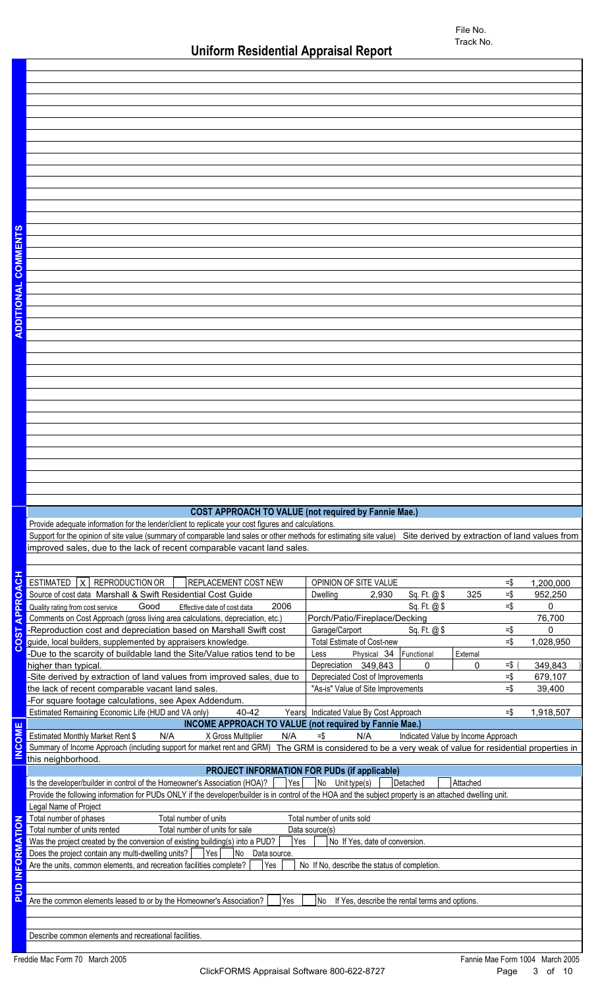## **COST APPROACH TO VALUE (not required by Fannie Mae.)**

Provide adequate information for the lender/client to replicate your cost figures and calculations. Support for the opinion of site value (summary of comparable land sales or other methods for estimating site value) Site derived by extraction of land values from | improved sales, due to the lack of recent comparable vacant land sales.

| $\overline{5}$                                                                                                                    | ESTIMATED $ X $ REPRODUCTION OR<br><b>REPLACEMENT COST NEW</b>                                                                                           | OPINION OF SITE VALUE<br>$=$ \$                      | 1,200,000 |  |  |  |  |  |  |
|-----------------------------------------------------------------------------------------------------------------------------------|----------------------------------------------------------------------------------------------------------------------------------------------------------|------------------------------------------------------|-----------|--|--|--|--|--|--|
| PPROA                                                                                                                             | Source of cost data Marshall & Swift Residential Cost Guide                                                                                              | $=$ \$<br>325<br>Dwelling<br>2,930<br>Sq. Ft. @ \$   | 952,250   |  |  |  |  |  |  |
|                                                                                                                                   | 2006<br>Good<br>Quality rating from cost service<br>Effective date of cost data                                                                          | $=$ \$<br>Sq. Ft. @\$                                | $\Omega$  |  |  |  |  |  |  |
| ∢                                                                                                                                 | Comments on Cost Approach (gross living area calculations, depreciation, etc.)                                                                           | Porch/Patio/Fireplace/Decking                        | 76,700    |  |  |  |  |  |  |
| <b>DST</b>                                                                                                                        | -Reproduction cost and depreciation based on Marshall Swift cost                                                                                         | $=$ \$<br>Garage/Carport<br>Sq. Ft. $@$ \$           | $\Omega$  |  |  |  |  |  |  |
|                                                                                                                                   | guide, local builders, supplemented by appraisers knowledge.                                                                                             | $=$ \$<br><b>Total Estimate of Cost-new</b>          | 1,028,950 |  |  |  |  |  |  |
| ပ                                                                                                                                 | -Due to the scarcity of buildable land the Site/Value ratios tend to be                                                                                  | Physical 34<br>Functional<br>External<br>Less        |           |  |  |  |  |  |  |
|                                                                                                                                   | higher than typical.                                                                                                                                     | Depreciation 349,843<br>$=$ \$<br>0<br>0             | 349,843   |  |  |  |  |  |  |
|                                                                                                                                   | -Site derived by extraction of land values from improved sales, due to                                                                                   | Depreciated Cost of Improvements<br>$=$ \$           | 679,107   |  |  |  |  |  |  |
|                                                                                                                                   | the lack of recent comparable vacant land sales.                                                                                                         | "As-is" Value of Site Improvements<br>$=$ \$         | 39,400    |  |  |  |  |  |  |
|                                                                                                                                   | -For square footage calculations, see Apex Addendum.                                                                                                     |                                                      |           |  |  |  |  |  |  |
|                                                                                                                                   | Estimated Remaining Economic Life (HUD and VA only)<br>40-42<br>Years                                                                                    | Indicated Value By Cost Approach<br>$=$ \$           | 1,918,507 |  |  |  |  |  |  |
|                                                                                                                                   | <b>INCOME APPROACH TO VALUE (not required by Fannie Mae.)</b>                                                                                            |                                                      |           |  |  |  |  |  |  |
| COME                                                                                                                              | Estimated Monthly Market Rent \$<br>N/A<br>X Gross Multiplier<br>N/A                                                                                     | $=$ \$<br>N/A<br>Indicated Value by Income Approach  |           |  |  |  |  |  |  |
|                                                                                                                                   | Summary of Income Approach (including support for market rent and GRM) The GRM is considered to be a very weak of value for residential properties in    |                                                      |           |  |  |  |  |  |  |
| ž                                                                                                                                 | this neighborhood.                                                                                                                                       |                                                      |           |  |  |  |  |  |  |
|                                                                                                                                   | <b>PROJECT INFORMATION FOR PUDs (if applicable)</b>                                                                                                      |                                                      |           |  |  |  |  |  |  |
|                                                                                                                                   | Yes<br>Is the developer/builder in control of the Homeowner's Association (HOA)?                                                                         | No Unit type(s)<br>Detached<br>Attached              |           |  |  |  |  |  |  |
|                                                                                                                                   | Provide the following information for PUDs ONLY if the developer/builder is in control of the HOA and the subject property is an attached dwelling unit. |                                                      |           |  |  |  |  |  |  |
|                                                                                                                                   | Legal Name of Project                                                                                                                                    |                                                      |           |  |  |  |  |  |  |
|                                                                                                                                   | Total number of phases<br>Total number of units                                                                                                          | Total number of units sold                           |           |  |  |  |  |  |  |
|                                                                                                                                   | Total number of units rented<br>Total number of units for sale                                                                                           | Data source(s)                                       |           |  |  |  |  |  |  |
| RMATION<br>Was the project created by the conversion of existing building(s) into a PUD?<br>Yes<br>No If Yes, date of conversion. |                                                                                                                                                          |                                                      |           |  |  |  |  |  |  |
| Does the project contain any multi-dwelling units?  <br>Yes<br>No<br>Data source.                                                 |                                                                                                                                                          |                                                      |           |  |  |  |  |  |  |
|                                                                                                                                   |                                                                                                                                                          |                                                      |           |  |  |  |  |  |  |
|                                                                                                                                   | Are the units, common elements, and recreation facilities complete?<br>Yes                                                                               | No If No, describe the status of completion.         |           |  |  |  |  |  |  |
|                                                                                                                                   |                                                                                                                                                          |                                                      |           |  |  |  |  |  |  |
|                                                                                                                                   |                                                                                                                                                          |                                                      |           |  |  |  |  |  |  |
|                                                                                                                                   | Are the common elements leased to or by the Homeowner's Association?<br>Yes                                                                              | No<br>If Yes, describe the rental terms and options. |           |  |  |  |  |  |  |
|                                                                                                                                   |                                                                                                                                                          |                                                      |           |  |  |  |  |  |  |
| <b>DED</b><br><b>DUP</b>                                                                                                          |                                                                                                                                                          |                                                      |           |  |  |  |  |  |  |
|                                                                                                                                   | Describe common elements and recreational facilities.                                                                                                    |                                                      |           |  |  |  |  |  |  |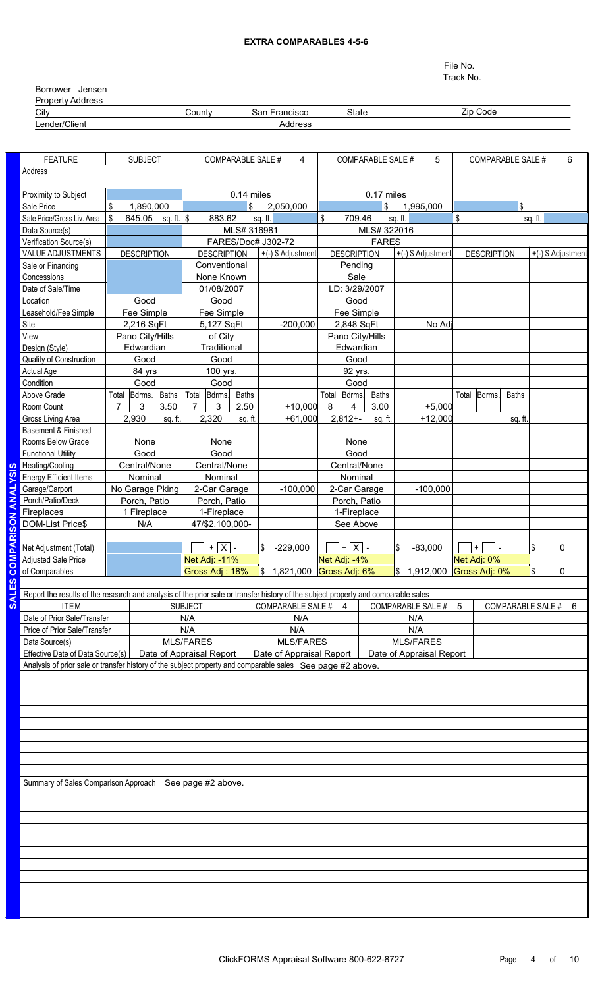#### **EXTRA COMPARABLES 4-5-6**

File No. Track No.

Borrower Jensen Property Address<br>City City County State Zip Code San Francisco

# Lender/Client Address

| <b>FEATURE</b>                                                                                                                     | <b>SUBJECT</b>      |                      |                | <b>COMPARABLE SALE #</b> |              |                          | 4                |       |                    | <b>COMPARABLE SALE #</b> |         | 5                                     |    |                    | <b>COMPARABLE SALE #</b> |         | 6                  |
|------------------------------------------------------------------------------------------------------------------------------------|---------------------|----------------------|----------------|--------------------------|--------------|--------------------------|------------------|-------|--------------------|--------------------------|---------|---------------------------------------|----|--------------------|--------------------------|---------|--------------------|
| Address                                                                                                                            |                     |                      |                |                          |              |                          |                  |       |                    |                          |         |                                       |    |                    |                          |         |                    |
|                                                                                                                                    |                     |                      |                |                          |              |                          |                  |       |                    |                          |         |                                       |    |                    |                          |         |                    |
| Proximity to Subject                                                                                                               |                     |                      |                |                          | 0.14 miles   |                          |                  |       |                    | 0.17 miles               |         |                                       |    |                    |                          |         |                    |
| Sale Price                                                                                                                         | \$<br>1,890,000     |                      |                |                          | \$           | 2,050,000                |                  |       |                    | \$                       |         | 1,995,000                             |    |                    | \$                       |         |                    |
| Sale Price/Gross Liv. Area                                                                                                         | \$                  | 645.05 sq. ft. $\$\$ |                | 883.62                   |              | sq. ft.                  |                  | \$    | 709.46             |                          | sq. ft. |                                       | \$ |                    |                          | sq. ft. |                    |
| Data Source(s)                                                                                                                     |                     |                      |                |                          | MLS# 316981  |                          |                  |       |                    | MLS# 322016              |         |                                       |    |                    |                          |         |                    |
| Verification Source(s)                                                                                                             |                     |                      |                |                          |              | FARES/Doc# J302-72       |                  |       |                    | <b>FARES</b>             |         |                                       |    |                    |                          |         |                    |
| <b>VALUE ADJUSTMENTS</b>                                                                                                           | <b>DESCRIPTION</b>  |                      |                | <b>DESCRIPTION</b>       |              | +(-) \$ Adjustment       |                  |       | <b>DESCRIPTION</b> |                          |         | +(-) \$ Adjustment                    |    | <b>DESCRIPTION</b> |                          |         | +(-) \$ Adjustment |
| Sale or Financing                                                                                                                  |                     |                      |                | Conventional             |              |                          |                  |       | Pending            |                          |         |                                       |    |                    |                          |         |                    |
| Concessions                                                                                                                        |                     |                      |                | None Known               |              |                          |                  |       | Sale               |                          |         |                                       |    |                    |                          |         |                    |
| Date of Sale/Time                                                                                                                  |                     |                      |                | 01/08/2007               |              |                          |                  |       | LD: 3/29/2007      |                          |         |                                       |    |                    |                          |         |                    |
| Location                                                                                                                           | Good                |                      |                | Good                     |              |                          |                  |       | Good               |                          |         |                                       |    |                    |                          |         |                    |
| Leasehold/Fee Simple                                                                                                               | Fee Simple          |                      |                | Fee Simple               |              |                          |                  |       | Fee Simple         |                          |         |                                       |    |                    |                          |         |                    |
| Site                                                                                                                               | 2,216 SqFt          |                      |                | 5,127 SqFt               |              |                          | $-200,000$       |       | 2,848 SqFt         |                          |         | No Adj                                |    |                    |                          |         |                    |
| View                                                                                                                               | Pano City/Hills     |                      |                | of City                  |              |                          |                  |       | Pano City/Hills    |                          |         |                                       |    |                    |                          |         |                    |
| Design (Style)                                                                                                                     | Edwardian           |                      |                | Traditional              |              |                          |                  |       | Edwardian          |                          |         |                                       |    |                    |                          |         |                    |
| Quality of Construction                                                                                                            | Good                |                      |                | Good                     |              |                          |                  |       | Good               |                          |         |                                       |    |                    |                          |         |                    |
| Actual Age                                                                                                                         | 84 yrs              |                      |                | 100 yrs.                 |              |                          |                  |       | 92 yrs.            |                          |         |                                       |    |                    |                          |         |                    |
| Condition                                                                                                                          | Good                |                      |                | Good                     |              |                          |                  |       | Good               |                          |         |                                       |    |                    |                          |         |                    |
| Above Grade                                                                                                                        | Total<br>Bdrms.     | <b>Baths</b>         | Total          | Bdrms.                   | <b>Baths</b> |                          |                  | Total | Bdrms.             | <b>Baths</b>             |         |                                       |    | Total Bdrms.       | <b>Baths</b>             |         |                    |
| Room Count                                                                                                                         | $\overline{7}$<br>3 | 3.50                 | $\overline{7}$ | 3                        | 2.50         |                          | $+10,000$        | 8     | 4                  | 3.00                     |         | $+5,000$                              |    |                    |                          |         |                    |
| Gross Living Area                                                                                                                  | 2,930               | sq. ft.              |                | 2,320                    | sq. ft.      |                          | $+61,000$        |       | $2,812+$           | sq. ft.                  |         | $+12,000$                             |    |                    | sq. ft.                  |         |                    |
| Basement & Finished                                                                                                                |                     |                      |                |                          |              |                          |                  |       |                    |                          |         |                                       |    |                    |                          |         |                    |
| Rooms Below Grade                                                                                                                  | None                |                      |                | None                     |              |                          |                  |       | None               |                          |         |                                       |    |                    |                          |         |                    |
| <b>Functional Utility</b>                                                                                                          | Good                |                      |                | Good                     |              |                          |                  |       | Good               |                          |         |                                       |    |                    |                          |         |                    |
| Heating/Cooling                                                                                                                    | Central/None        |                      |                | Central/None             |              |                          |                  |       | Central/None       |                          |         |                                       |    |                    |                          |         |                    |
| <b>Energy Efficient Items</b>                                                                                                      | Nominal             |                      |                | Nominal                  |              |                          |                  |       | Nominal            |                          |         |                                       |    |                    |                          |         |                    |
| Garage/Carport                                                                                                                     | No Garage Pking     |                      |                | 2-Car Garage             |              |                          | $-100,000$       |       | 2-Car Garage       |                          |         | $-100,000$                            |    |                    |                          |         |                    |
| Porch/Patio/Deck                                                                                                                   | Porch, Patio        |                      |                | Porch, Patio             |              |                          |                  |       | Porch, Patio       |                          |         |                                       |    |                    |                          |         |                    |
| Fireplaces                                                                                                                         | 1 Fireplace         |                      |                | 1-Fireplace              |              |                          |                  |       | 1-Fireplace        |                          |         |                                       |    |                    |                          |         |                    |
| <b>DOM-List Price\$</b>                                                                                                            | N/A                 |                      |                | 47/\$2,100,000-          |              |                          |                  |       | See Above          |                          |         |                                       |    |                    |                          |         |                    |
|                                                                                                                                    |                     |                      |                |                          |              |                          |                  |       |                    |                          |         |                                       |    |                    |                          |         |                    |
| Net Adjustment (Total)                                                                                                             |                     |                      |                | $+ X $ .                 |              | l\$<br>$-229,000$        |                  |       | $+ X $ .           |                          | l\$     | $-83,000$                             |    | $+$                |                          | \$      | 0                  |
| <b>Adjusted Sale Price</b>                                                                                                         |                     |                      |                | Net Adj: -11%            |              |                          |                  |       | Net Adj: -4%       |                          |         |                                       |    | Net Adj: 0%        |                          |         |                    |
| of Comparables                                                                                                                     |                     |                      |                | Gross Adj: 18%           |              | $\frac{1}{3}$ 1,821,000  |                  |       | Gross Adj: 6%      |                          |         | $\frac{1}{9}$ 1,912,000 Gross Adj: 0% |    |                    |                          | \$      | 0                  |
|                                                                                                                                    |                     |                      |                |                          |              |                          |                  |       |                    |                          |         |                                       |    |                    |                          |         |                    |
| Report the results of the research and analysis of the prior sale or transfer history of the subject property and comparable sales |                     |                      |                |                          |              |                          |                  |       |                    |                          |         |                                       |    |                    |                          |         |                    |
| <b>ITEM</b>                                                                                                                        |                     |                      | <b>SUBJECT</b> |                          |              | COMPARABLE SALE # 4      |                  |       |                    |                          |         | COMPARABLE SALE #                     | 5  |                    | <b>COMPARABLE SALE #</b> |         | 6                  |
| Date of Prior Sale/Transfer<br>N/A                                                                                                 |                     |                      |                | N/A                      |              |                          |                  |       |                    |                          |         | N/A                                   |    |                    |                          |         |                    |
| Price of Prior Sale/Transfer                                                                                                       |                     |                      | N/A            |                          |              |                          | N/A              |       |                    |                          |         | N/A                                   |    |                    |                          |         |                    |
| Data Source(s)                                                                                                                     |                     | <b>MLS/FARES</b>     |                |                          |              |                          | <b>MLS/FARES</b> |       |                    |                          |         | <b>MLS/FARES</b>                      |    |                    |                          |         |                    |
| Effective Date of Data Source(s)                                                                                                   |                     |                      |                | Date of Appraisal Report |              | Date of Appraisal Report |                  |       |                    |                          |         | Date of Appraisal Report              |    |                    |                          |         |                    |
| Analysis of prior sale or transfer history of the subject property and comparable sales See page #2 above.                         |                     |                      |                |                          |              |                          |                  |       |                    |                          |         |                                       |    |                    |                          |         |                    |
|                                                                                                                                    |                     |                      |                |                          |              |                          |                  |       |                    |                          |         |                                       |    |                    |                          |         |                    |
|                                                                                                                                    |                     |                      |                |                          |              |                          |                  |       |                    |                          |         |                                       |    |                    |                          |         |                    |
|                                                                                                                                    |                     |                      |                |                          |              |                          |                  |       |                    |                          |         |                                       |    |                    |                          |         |                    |
|                                                                                                                                    |                     |                      |                |                          |              |                          |                  |       |                    |                          |         |                                       |    |                    |                          |         |                    |
|                                                                                                                                    |                     |                      |                |                          |              |                          |                  |       |                    |                          |         |                                       |    |                    |                          |         |                    |
|                                                                                                                                    |                     |                      |                |                          |              |                          |                  |       |                    |                          |         |                                       |    |                    |                          |         |                    |
|                                                                                                                                    |                     |                      |                |                          |              |                          |                  |       |                    |                          |         |                                       |    |                    |                          |         |                    |
|                                                                                                                                    |                     |                      |                |                          |              |                          |                  |       |                    |                          |         |                                       |    |                    |                          |         |                    |
|                                                                                                                                    |                     |                      |                |                          |              |                          |                  |       |                    |                          |         |                                       |    |                    |                          |         |                    |
| Summary of Sales Comparison Approach See page #2 above.                                                                            |                     |                      |                |                          |              |                          |                  |       |                    |                          |         |                                       |    |                    |                          |         |                    |
|                                                                                                                                    |                     |                      |                |                          |              |                          |                  |       |                    |                          |         |                                       |    |                    |                          |         |                    |
|                                                                                                                                    |                     |                      |                |                          |              |                          |                  |       |                    |                          |         |                                       |    |                    |                          |         |                    |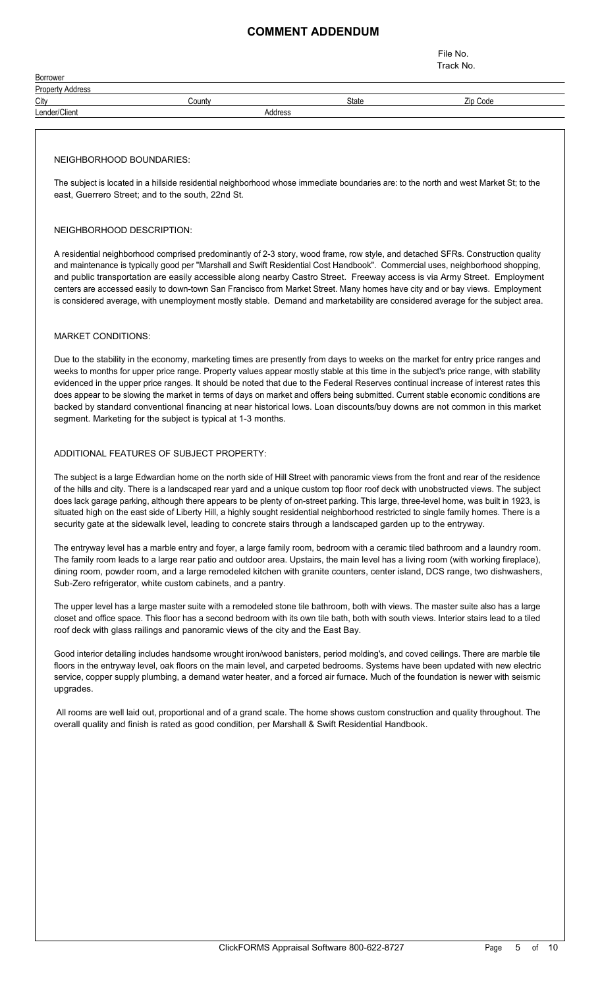## **COMMENT ADDENDUM**

File No. Track No.

| Borrower                |         |       |          |  |
|-------------------------|---------|-------|----------|--|
| <b>Property Address</b> |         |       |          |  |
| City                    | Countv  | State | Zip Code |  |
| Lender/Client           | Address |       |          |  |
|                         |         |       |          |  |

#### NEIGHBORHOOD BOUNDARIES:

The subject is located in a hillside residential neighborhood whose immediate boundaries are: to the north and west Market St; to the east, Guerrero Street; and to the south, 22nd St.

#### NEIGHBORHOOD DESCRIPTION:

A residential neighborhood comprised predominantly of 2-3 story, wood frame, row style, and detached SFRs. Construction quality and maintenance is typically good per "Marshall and Swift Residential Cost Handbook". Commercial uses, neighborhood shopping, and public transportation are easily accessible along nearby Castro Street. Freeway access is via Army Street. Employment centers are accessed easily to down-town San Francisco from Market Street. Many homes have city and or bay views. Employment is considered average, with unemployment mostly stable. Demand and marketability are considered average for the subject area.

#### MARKET CONDITIONS:

Due to the stability in the economy, marketing times are presently from days to weeks on the market for entry price ranges and weeks to months for upper price range. Property values appear mostly stable at this time in the subject's price range, with stability evidenced in the upper price ranges. It should be noted that due to the Federal Reserves continual increase of interest rates this does appear to be slowing the market in terms of days on market and offers being submitted. Current stable economic conditions are backed by standard conventional financing at near historical lows. Loan discounts/buy downs are not common in this market segment. Marketing for the subject is typical at 1-3 months.

#### ADDITIONAL FEATURES OF SUBJECT PROPERTY:

The subject is a large Edwardian home on the north side of Hill Street with panoramic views from the front and rear of the residence of the hills and city. There is a landscaped rear yard and a unique custom top floor roof deck with unobstructed views. The subject does lack garage parking, although there appears to be plenty of on-street parking. This large, three-level home, was built in 1923, is situated high on the east side of Liberty Hill, a highly sought residential neighborhood restricted to single family homes. There is a security gate at the sidewalk level, leading to concrete stairs through a landscaped garden up to the entryway.

The entryway level has a marble entry and foyer, a large family room, bedroom with a ceramic tiled bathroom and a laundry room. The family room leads to a large rear patio and outdoor area. Upstairs, the main level has a living room (with working fireplace), dining room, powder room, and a large remodeled kitchen with granite counters, center island, DCS range, two dishwashers, Sub-Zero refrigerator, white custom cabinets, and a pantry.

The upper level has a large master suite with a remodeled stone tile bathroom, both with views. The master suite also has a large closet and office space. This floor has a second bedroom with its own tile bath, both with south views. Interior stairs lead to a tiled roof deck with glass railings and panoramic views of the city and the East Bay.

Good interior detailing includes handsome wrought iron/wood banisters, period molding's, and coved ceilings. There are marble tile floors in the entryway level, oak floors on the main level, and carpeted bedrooms. Systems have been updated with new electric service, copper supply plumbing, a demand water heater, and a forced air furnace. Much of the foundation is newer with seismic upgrades.

 All rooms are well laid out, proportional and of a grand scale. The home shows custom construction and quality throughout. The overall quality and finish is rated as good condition, per Marshall & Swift Residential Handbook.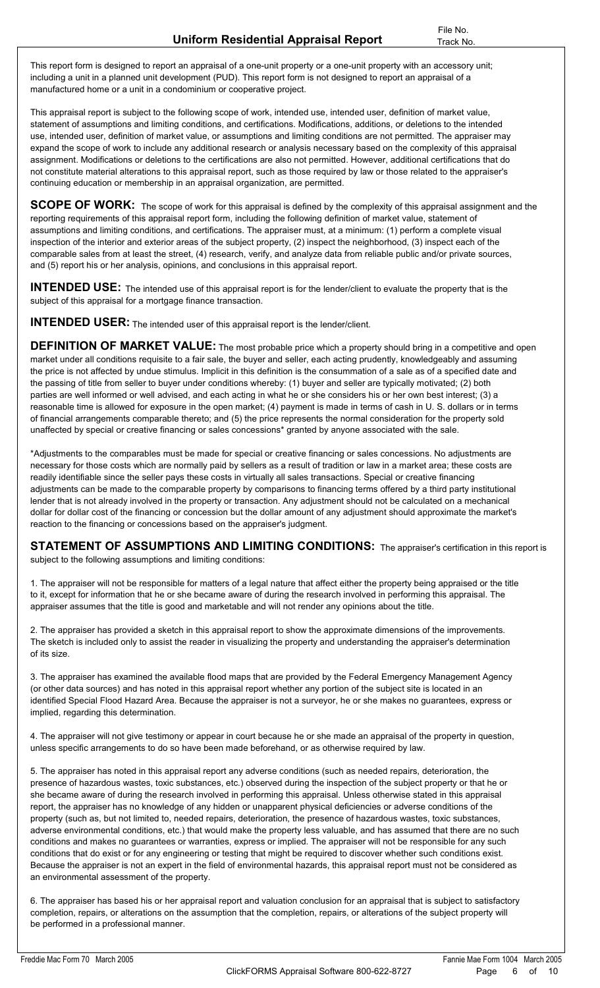This report form is designed to report an appraisal of a one-unit property or a one-unit property with an accessory unit; including a unit in a planned unit development (PUD). This report form is not designed to report an appraisal of a manufactured home or a unit in a condominium or cooperative project.

This appraisal report is subject to the following scope of work, intended use, intended user, definition of market value, statement of assumptions and limiting conditions, and certifications. Modifications, additions, or deletions to the intended use, intended user, definition of market value, or assumptions and limiting conditions are not permitted. The appraiser may expand the scope of work to include any additional research or analysis necessary based on the complexity of this appraisal assignment. Modifications or deletions to the certifications are also not permitted. However, additional certifications that do not constitute material alterations to this appraisal report, such as those required by law or those related to the appraiser's continuing education or membership in an appraisal organization, are permitted.

**SCOPE OF WORK:** The scope of work for this appraisal is defined by the complexity of this appraisal assignment and the reporting requirements of this appraisal report form, including the following definition of market value, statement of assumptions and limiting conditions, and certifications. The appraiser must, at a minimum: (1) perform a complete visual inspection of the interior and exterior areas of the subject property, (2) inspect the neighborhood, (3) inspect each of the comparable sales from at least the street, (4) research, verify, and analyze data from reliable public and/or private sources, and (5) report his or her analysis, opinions, and conclusions in this appraisal report.

**INTENDED USE:** The intended use of this appraisal report is for the lender/client to evaluate the property that is the subject of this appraisal for a mortgage finance transaction.

**INTENDED USER:** The intended user of this appraisal report is the lender/client.

**DEFINITION OF MARKET VALUE:** The most probable price which a property should bring in a competitive and open market under all conditions requisite to a fair sale, the buyer and seller, each acting prudently, knowledgeably and assuming the price is not affected by undue stimulus. Implicit in this definition is the consummation of a sale as of a specified date and the passing of title from seller to buyer under conditions whereby: (1) buyer and seller are typically motivated; (2) both parties are well informed or well advised, and each acting in what he or she considers his or her own best interest; (3) a reasonable time is allowed for exposure in the open market; (4) payment is made in terms of cash in U. S. dollars or in terms of financial arrangements comparable thereto; and (5) the price represents the normal consideration for the property sold unaffected by special or creative financing or sales concessions\* granted by anyone associated with the sale.

\*Adjustments to the comparables must be made for special or creative financing or sales concessions. No adjustments are necessary for those costs which are normally paid by sellers as a result of tradition or law in a market area; these costs are readily identifiable since the seller pays these costs in virtually all sales transactions. Special or creative financing adjustments can be made to the comparable property by comparisons to financing terms offered by a third party institutional lender that is not already involved in the property or transaction. Any adjustment should not be calculated on a mechanical dollar for dollar cost of the financing or concession but the dollar amount of any adjustment should approximate the market's reaction to the financing or concessions based on the appraiser's judgment.

**STATEMENT OF ASSUMPTIONS AND LIMITING CONDITIONS:** The appraiser's certification in this report is subject to the following assumptions and limiting conditions: **STATEMENT OF ASSUMPTIONS AND LIMITING CONDITIONS:** The appraiser's certification in this report is<br>subject to the following assumptions and limiting conditions:<br>1. The appraiser will not be responsible for matters of a le

to it, except for information that he or she became aware of during the research involved in performing this appraisal. The appraiser assumes that the title is good and marketable and will not render any opinions about the title. 1. The appraiser will not be responsible for matters of a legal nature that affect either the property being appraised or the title<br>to it, except for information that he or she became aware of during the research involved

of its size. 2. The appraiser has provided a sketch in this appraisal report to show the approximate dimensions of the improvements.<br>The sketch is included only to assist the reader in visualizing the property and understanding the app

identified Special Flood Hazard Area. Because the appraiser is not a surveyor, he or she makes no guarantees, express or implied, regarding this determination. (or other data sources) and has noted in this appraisal report whether any portion of the subject site is located in an<br>identified Special Flood Hazard Area. Because the appraiser is not a surveyor, he or she makes no guar

unless specific arrangements to do so have been made beforehand, or as otherwise required by law.

4. The appraiser will not give testimony or appear in court because he or she made an appraisal of the property in question,<br>unless specific arrangements to do so have been made beforehand, or as otherwise required by law. presence of hazardous wastes, toxic substances, etc.) observed during the inspection of the subject property or that he or she became aware of during the research involved in performing this appraisal. Unless otherwise stated in this appraisal report, the appraiser has no knowledge of any hidden or unapparent physical deficiencies or adverse conditions of the property (such as, but not limited to, needed repairs, deterioration, the presence of hazardous wastes, toxic substances, adverse environmental conditions, etc.) that would make the property less valuable, and has assumed that there are no such conditions and makes no guarantees or warranties, express or implied. The appraiser will not be responsible for any such conditions that do exist or for any engineering or testing that might be required to discover whether such conditions exist. Because the appraiser is not an expert in the field of environmental hazards, this appraisal report must not be considered as an environmental assessment of the property.

6. The appraiser has based his or her appraisal report and valuation conclusion for an appraisal that is subject to satisfactory completion, repairs, or alterations on the assumption that the completion, repairs, or alterations of the subject property will be performed in a professional manner.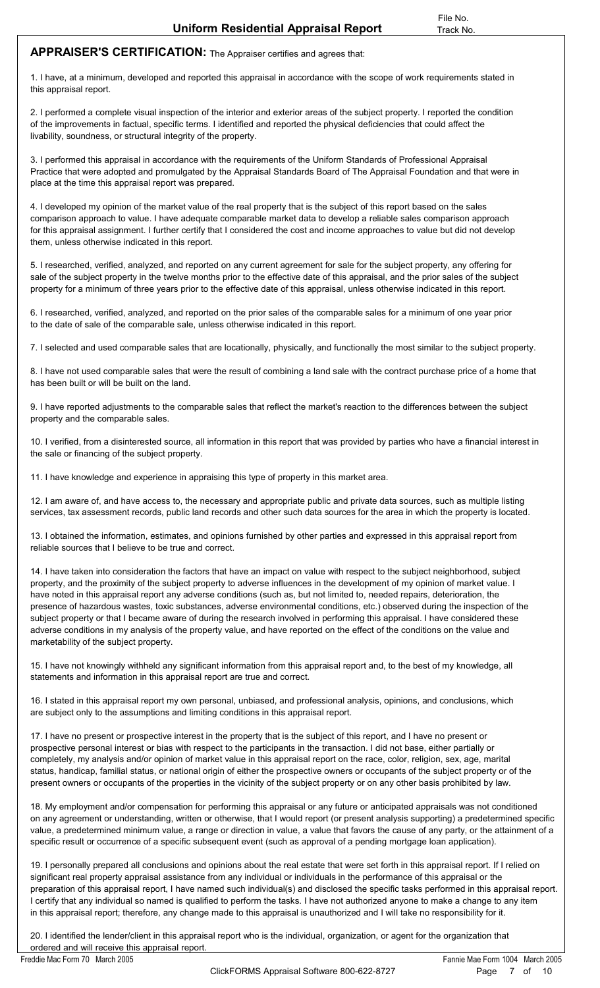## **APPRAISER'S CERTIFICATION:** The Appraiser certifies and agrees that:

1. I have, at a minimum, developed and reported this appraisal in accordance with the scope of work requirements stated in this appraisal report.<br>1. I have, at a minimum, developed and reported this appraisal in accordance this appraisal report.

1. I have, at a minimum, developed and reported this appraisal in accordance with the scope of work requirements stated in<br>this appraisal report.<br>2. I performed a complete visual inspection of the interior and exterior are of the improvements in factual, specific terms. I identified and reported the physical deficiencies that could affect the livability, soundness, or structural integrity of the property. 2. I performed a complete visual inspection of the interior and exterior areas of the subject property. I reported the condition<br>of the improvements in factual, specific terms. I identified and reported the physical defici

Practice that were adopted and promulgated by the Appraisal Standards Board of The Appraisal Foundation and that were in place at the time this appraisal report was prepared. 1. I performed this appraisal in accordance with the requirements of the Uniform Standards of Professional Appraisal<br>Practice that were adopted and promulgated by the Appraisal Standards Board of The Appraisal Foundation a

comparison approach to value. I have adequate comparable market data to develop a reliable sales comparison approach for this appraisal assignment. I further certify that I considered the cost and income approaches to value but did not develop them, unless otherwise indicated in this report. comparison approach to value. I have adequate comparable market data to develop a reliable sales comparison approach<br>for this appraisal assignment. I further certify that I considered the cost and income approaches to valu

property for a minimum of three years prior to the effective date of this appraisal, unless otherwise indicated in this report. 5. I researched, verified, analyzed, and reported on any current agreement for sale for the subject property, any offering for sale of the subject property in the twelve months prior to the effective date of this appraisal

to the date of sale of the comparable sale, unless otherwise indicated in this report. 6. I researched, verified, analyzed, and reported on the prior sales of the comparable sales for a minimum of one year prior<br>to the date of sale of the comparable sale, unless otherwise indicated in this report.<br>7. I selec

to the date of sale of the comparable sale, unless otherwise indicated in this report.<br>8. I selected and used comparable sales that are locationally, physically, and functionally the most similar to the subject property.<br>8 has been built or will be built on the land.

8. I have not used comparable sales that were the result of combining a land sale with the contract purchase price of a home that<br>has been built or will be built on the land.<br>9. I have reported adjustments to the comparabl property and the comparable sales. 10. I have reported adjustments to the comparable sales that reflect the market's reaction to the differences between the subject<br>property and the comparable sales.<br>10. I verified, from a disinterested source, all informat

the sale or financing of the subject property. 10. I verified, from a disinterested source, all information in this report that was provided by parti<br>the sale or financing of the subject property.<br>11. I have knowledge and experience in appraising this type of property

the sale or financing of the subject property.<br>11. I have knowledge and experience in appraising this type of property in this market area.<br>12. I am aware of, and have access to, the necessary and appropriate public and pr 12. I am aware of, and have access to, the necessary and appropriate public and private data sources, such as multiple listing<br>services, tax assessment records, public land records and other such data sources for the area

reliable sources that I believe to be true and correct.

14. I have taken into consideration the factors that have an impact on value with respect to the subject neighborhood, subject property, and the proximity of the subject property to adverse influences in the development of my opinion of market value. I have noted in this appraisal report any adverse conditions (such as, but not limited to, needed repairs, deterioration, the presence of hazardous wastes, toxic substances, adverse environmental conditions, etc.) observed during the inspection of the subject property or that I became aware of during the research involved in performing this appraisal. I have considered these adverse conditions in my analysis of the property value, and have reported on the effect of the conditions on the value and marketability of the subject property. subject property or that I became aware of during the research involved in performing this appraisal. I have considered these adverse conditions in my analysis of the property value, and have reported on the effect of the

statements and information in this appraisal report are true and correct. 15. I have not knowingly withheld any significant information from this appraisal report and, to the best of my knowledge, all statements and information in this appraisal report are true and correct.<br>16. I stated in this

are subject only to the assumptions and limiting conditions in this appraisal report.

16. I stated in this appraisal report my own personal, unbiased, and professional analysis, opinions, and conclusions, which<br>are subject only to the assumptions and limiting conditions in this appraisal report.<br>17. I have completely, my analysis and/or opinion of market value in this appraisal report on the race, color, religion, sex, age, marital status, handicap, familial status, or national origin of either the prospective owners or occupants of the subject property or of the present owners or occupants of the properties in the vicinity of the subject property or on any other basis prohibited by law. 18. Completely, my analysis and/or opinion of market value in this appraisal report on the race, color, religion, sex, age, marital<br>status, handicap, familial status, or national origin of either the prospective owners or

on any agreement or understanding, written or otherwise, that I would report (or present analysis supporting) a predetermined specific<br>value, a predetermined minimum value, a range or direction in value, a value that favor value, a predetermined minimum value, a range or direction in value, a value that favors the cause of any party, or the attainment of a specific result or occurrence of a specific subsequent event (such as approval of a pending mortgage loan application).

significant real property appraisal assistance from any individual or individuals in the performance of this appraisal or the preparation of this appraisal report, I have named such individual(s) and disclosed the specific tasks performed in this appraisal report. I certify that any individual so named is qualified to perform the tasks. I have not authorized anyone to make a change to any item in this appraisal report; therefore, any change made to this appraisal is unauthorized and I will take no responsibility for it. preparation of this appraisal report, I have named such individual(s) and disclosed the specific tasks performed in this appraisal certify that any individual so named is qualified to perform the tasks. I have not authoriz

ordered and will receive this appraisal report.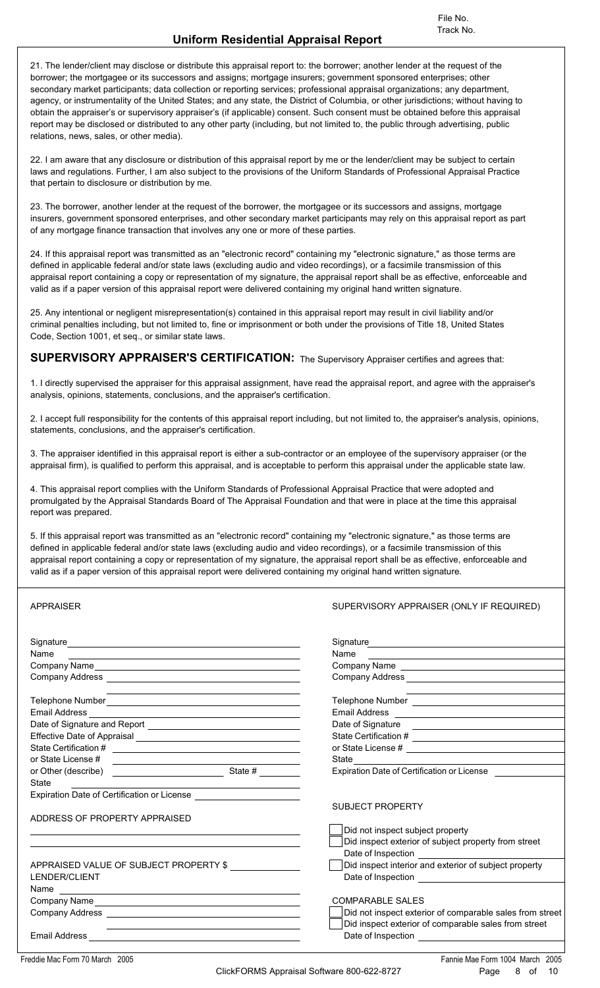File No.<br>**Uniform Residential Appraisal Report**<br>21. The lender/client may disclose or distribute this appraisal report to: the borrower; another lender at the request of the<br>borrower; the mortgagee or its successors and as secondary market participants; data collection or reporting services; professional appraisal organizations; any department, agency, or instrumentality of the United States; and any state, the District of Columbia, or other jurisdictions; without having to obtain the appraiser's or supervisory appraiser's (if applicable) consent. Such consent must be obtained before this appraisal report may be disclosed or distributed to any other party (including, but not limited to, the public through advertising, public relations, news, sales, or other media).

22. I am aware that any disclosure or distribution of this appraisal report by me or the lender/client may be subject to certain laws and regulations. Further, I am also subject to the provisions of the Uniform Standards of Professional Appraisal Practice that pertain to disclosure or distribution by me. 22. I am aware that any disclosure or distribution of this appraisal report by me or the lender/client may be subject to certain<br>laws and regulations. Further, I am also subject to the provisions of the Uniform Standards o

of any mortgage finance transaction that involves any one or more of these parties. 23. The borrower, another lender at the request of the borrower, the mortgagee or its successors and assigns, mortgage<br>insurers, government sponsored enterprises, and other secondary market participants may rely on this ap

defined in applicable federal and/or state laws (excluding audio and video recordings), or a facsimile transmission of this appraisal report containing a copy or representation of my signature, the appraisal report shall be as effective, enforceable and valid as if a paper version of this appraisal report were delivered containing my original hand written signature. defined in applicable federal and/or state laws (excluding audio and video recordings), or a facsimile transmission of this<br>appraisal report containing a copy or representation of my signature, the appraisal report shall b

criminal penalties including, but not limited to, fine or imprisonment or both under the provisions of Title 18, United States Code, Section 1001, et seq., or similar state laws.

**SUPERVISORY APPRAISER'S CERTIFICATION:** The Supervisory Appraiser certifies and agrees that:

Code, Section 1001, et seq., or similar state laws.<br> **SUPERVISORY APPRAISER'S CERTIFICATION:** The Supervisory Appraiser certifies and agrees that:<br>
1. I directly supervised the appraiser for this appraisal assignment, have analysis, opinions, statements, conclusions, and the appraiser's certification. 1. I directly supervised the appraiser for this appraisal assignment, have read the appraisal report, and agree with the appraiser's analysis, opinions, statements, conclusions, and the appraiser's certification.<br>2. I acce

statements, conclusions, and the appraiser's certification.

3. The appraiser identified in this appraisal report is either a sub-contractor or an employee of the supervisory appraiser (or the appraisal firm), is qualified to perform this appraisal, and is acceptable to perform this appraisal under the applicable state law.

4. This appraisal report complies with the Uniform Standards of Professional Appraisal Practice that were adopted and promulgated by the Appraisal Standards Board of The Appraisal Foundation and that were in place at the time this appraisal report was prepared. 4. This appraisal report complies with the Uniform Standards of Professional Appraisal Practice that were adopted and<br>promulgated by the Appraisal Standards Board of The Appraisal Foundation and that were in place at the t

defined in applicable federal and/or state laws (excluding audio and video recordings), or a facsimile transmission of this appraisal report containing a copy or representation of my signature, the appraisal report shall be as effective, enforceable and valid as if a paper version of this appraisal report were delivered containing my original hand written signature.

| <b>APPRAISER</b>                                                                                                        |                                                                                                                                                                                                                               | SUPERVISORY APPRAISER (ONLY IF REQUIRED)                                                                                                                                                                                       |  |  |  |  |  |
|-------------------------------------------------------------------------------------------------------------------------|-------------------------------------------------------------------------------------------------------------------------------------------------------------------------------------------------------------------------------|--------------------------------------------------------------------------------------------------------------------------------------------------------------------------------------------------------------------------------|--|--|--|--|--|
|                                                                                                                         |                                                                                                                                                                                                                               | Signature <b>Signature Signature Signature Signature Signature Signature Signature Signature Signature Signature Signature Signature Signature Signature Signature Signature Signature Signatu</b>                             |  |  |  |  |  |
| Name<br>the contract of the contract of the contract of the contract of the contract of the contract of the contract of |                                                                                                                                                                                                                               |                                                                                                                                                                                                                                |  |  |  |  |  |
|                                                                                                                         |                                                                                                                                                                                                                               |                                                                                                                                                                                                                                |  |  |  |  |  |
|                                                                                                                         |                                                                                                                                                                                                                               |                                                                                                                                                                                                                                |  |  |  |  |  |
|                                                                                                                         | <u> 1989 - Johann Stein, mars an deutscher Stein und der Stein und der Stein und der Stein und der Stein und der</u>                                                                                                          | the control of the control of the control of the control of the control of the control of                                                                                                                                      |  |  |  |  |  |
|                                                                                                                         |                                                                                                                                                                                                                               |                                                                                                                                                                                                                                |  |  |  |  |  |
|                                                                                                                         |                                                                                                                                                                                                                               |                                                                                                                                                                                                                                |  |  |  |  |  |
|                                                                                                                         |                                                                                                                                                                                                                               |                                                                                                                                                                                                                                |  |  |  |  |  |
|                                                                                                                         |                                                                                                                                                                                                                               |                                                                                                                                                                                                                                |  |  |  |  |  |
|                                                                                                                         |                                                                                                                                                                                                                               | State experience and the contract of the state of the state of the state of the state of the state of the state of the state of the state of the state of the state of the state of the state of the state of the state of the |  |  |  |  |  |
|                                                                                                                         |                                                                                                                                                                                                                               | <b>Expiration Date of Certification or License</b>                                                                                                                                                                             |  |  |  |  |  |
| State                                                                                                                   | <u> 1989 - Johann Barn, mars ann an t-Amhain an t-Amhain an t-Amhain an t-Amhain an t-Amhain an t-Amhain an t-A</u>                                                                                                           |                                                                                                                                                                                                                                |  |  |  |  |  |
|                                                                                                                         |                                                                                                                                                                                                                               |                                                                                                                                                                                                                                |  |  |  |  |  |
|                                                                                                                         |                                                                                                                                                                                                                               | <b>SUBJECT PROPERTY</b>                                                                                                                                                                                                        |  |  |  |  |  |
| ADDRESS OF PROPERTY APPRAISED                                                                                           |                                                                                                                                                                                                                               |                                                                                                                                                                                                                                |  |  |  |  |  |
|                                                                                                                         |                                                                                                                                                                                                                               | Did not inspect subject property                                                                                                                                                                                               |  |  |  |  |  |
|                                                                                                                         |                                                                                                                                                                                                                               | Did inspect exterior of subject property from street                                                                                                                                                                           |  |  |  |  |  |
|                                                                                                                         |                                                                                                                                                                                                                               | Date of Inspection _______________                                                                                                                                                                                             |  |  |  |  |  |
| APPRAISED VALUE OF SUBJECT PROPERTY \$                                                                                  |                                                                                                                                                                                                                               | Did inspect interior and exterior of subject property                                                                                                                                                                          |  |  |  |  |  |
| LENDER/CLIENT                                                                                                           |                                                                                                                                                                                                                               |                                                                                                                                                                                                                                |  |  |  |  |  |
|                                                                                                                         |                                                                                                                                                                                                                               |                                                                                                                                                                                                                                |  |  |  |  |  |
|                                                                                                                         |                                                                                                                                                                                                                               | <b>COMPARABLE SALES</b>                                                                                                                                                                                                        |  |  |  |  |  |
|                                                                                                                         |                                                                                                                                                                                                                               | Did not inspect exterior of comparable sales from street                                                                                                                                                                       |  |  |  |  |  |
|                                                                                                                         | the control of the control of the control of the control of the control of the control of the control of the control of the control of the control of the control of the control of the control of the control of the control | Did inspect exterior of comparable sales from street                                                                                                                                                                           |  |  |  |  |  |
|                                                                                                                         |                                                                                                                                                                                                                               |                                                                                                                                                                                                                                |  |  |  |  |  |
|                                                                                                                         |                                                                                                                                                                                                                               |                                                                                                                                                                                                                                |  |  |  |  |  |

Freddie Mac Form 70 March 2005 Fannie Mae Form 1004 March 2005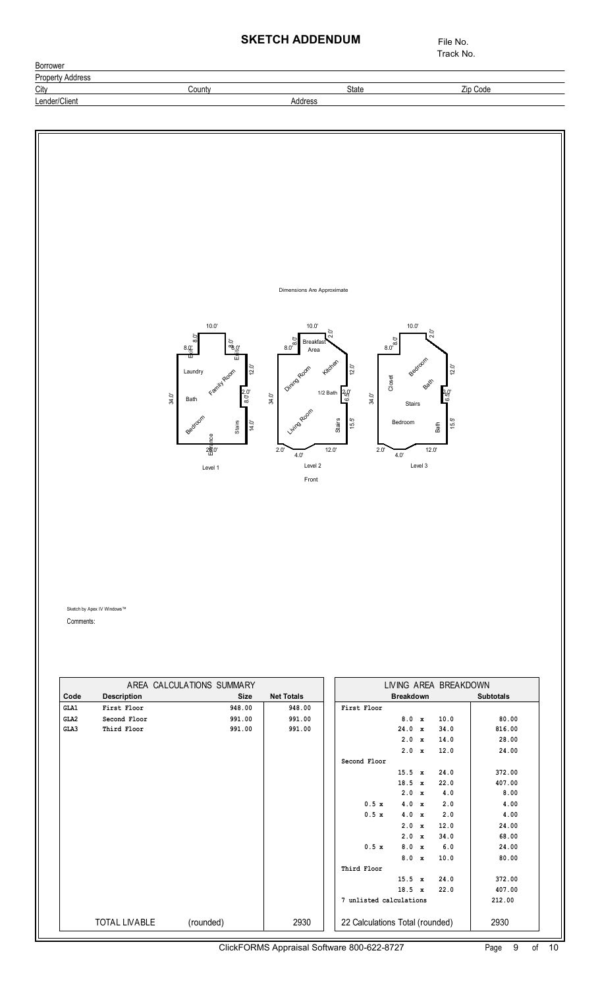## **SKETCH ADDENDUM** File No.

City **County** County **County** County **State** State **Zip Code** 

Borrower **Property Address**  Track No.

#### ClickFORMS Appraisal Software 800-622-8727 Lender/Client Address Page 9 of Comments: AREA CALCULATIONS SUMMARY **Code Description Size Net Totals GLA1 First Floor 948.00 GLA2 948.00 Second Floor 991.00 GLA3 991.00 Third Floor 991.00 991.00** TOTAL LIVABLE (rounded) 2930 **Breakdown Subtotals** LIVING AREA BREAKDOWN **First Floor 8.0 x 10.0 80.00**<br>24.0 x 34.0 816.00  **24.0 x 34.0 816.00 2.0 x 14.0 28.00 2.0 x 12.0 24.00 Second Floor 15.5 x 24.0 372.00 18.5 x 22.0 407.00**  2.0 x 4.0 8.00 **0.5 x 4.0 x 2.0 4.00 0.5 x 4.0 x 2.0 4.00 2.0 x 12.0 24.00 2.0 x 34.0 68.00 0.5 x 8.0 x 6.0 24.00 8.0 x 10.0 80.00 Third Floor 15.5 x 24.0 372.00 18.5 x 22.0 407.00 7 unlisted calculations 212.00**  22 Calculations Total (rounded) 2930 Sketch by Apex IV Windows™ 8.0' 8.0' 10.0' ප<br>%.0' 12.0' 2.0'<br>8.0 14.0' e<br>2<mark>6</mark>ී0'<br>ස 34.0'  $8.0$ 10.0' .<br>2.0 12.0'  $2.0'$ 15.5'  $12.0$ 4.0' 2.0' 34.0' 34.0' 5<br>8.0° 10.0' .<br>2.0 12.0' 2.0'6.5' 15.5' 12.0' 4.0' 2.0' Front Family Room Bedroom Bath <u>s.≋ I</u><br>Laundry  $\frac{\pi}{2}$ Living Room Dinna Room Kitch Stairs Breakfa Area Bedroom Bedroom Bath Bath **Stairs** Closet Level 1 Level 2 Level 2 Level 1 1/2 Bath Dimensions Are Approximate Stairs 10